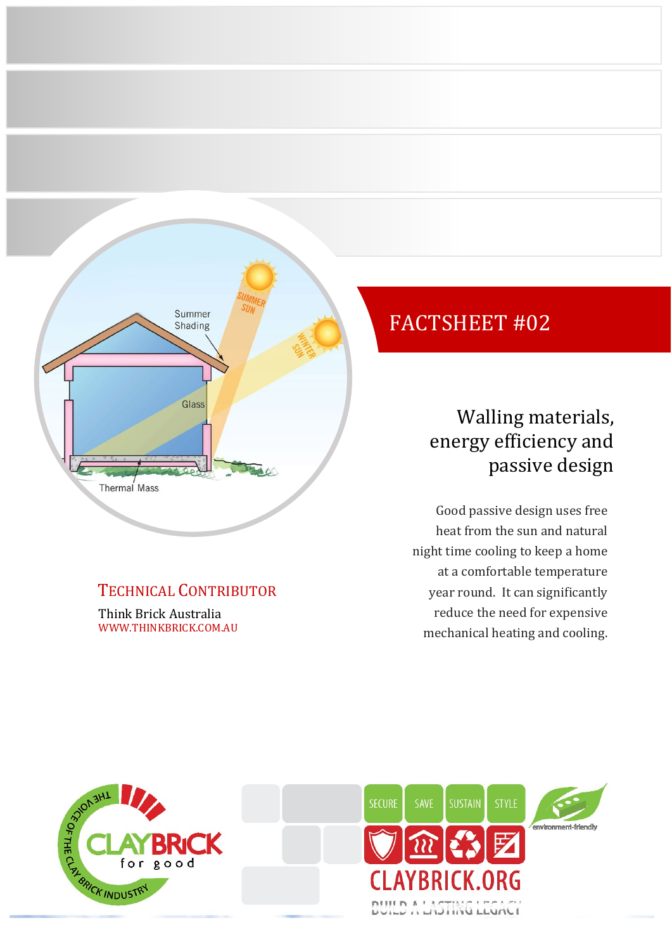

### TECHNICAL CONTRIBUTOR

Think Brick Australia WWW.THINKBRICK.COM.AU

# FACTSHEET #02

# Walling materials, energy efficiency and passive design

Good passive design uses free heat from the sun and natural night time cooling to keep a home at a comfortable temperature year round. It can significantly reduce the need for expensive mechanical heating and cooling.



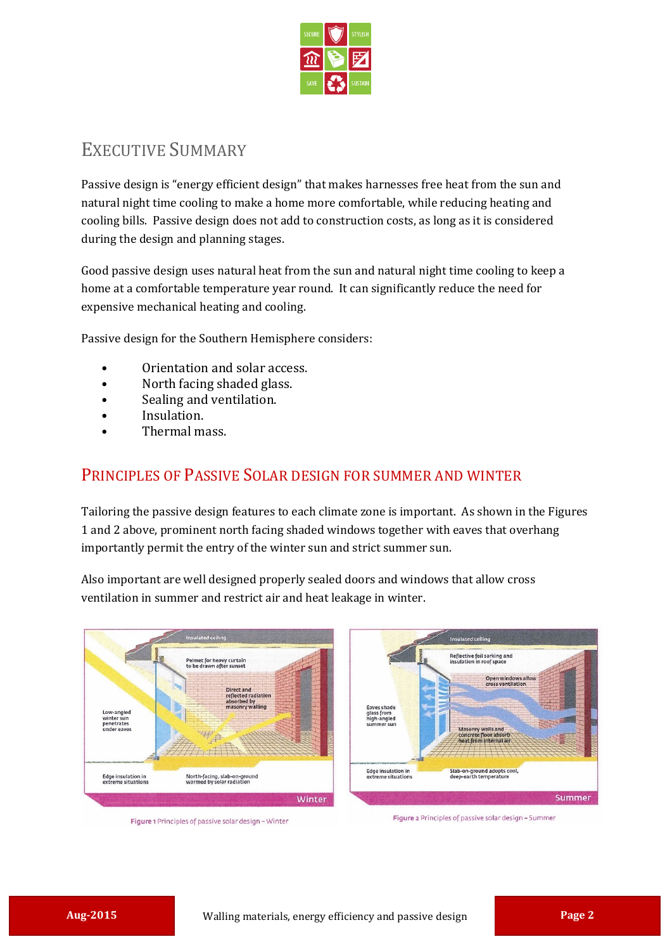

## EXECUTIVE SUMMARY

Passive design is "energy efficient design" that makes harnesses free heat from the sun and natural night time cooling to make a home more comfortable, while reducing heating and cooling bills. Passive design does not add to construction costs, as long as it is considered during the design and planning stages.

Good passive design uses natural heat from the sun and natural night time cooling to keep a home at a comfortable temperature year round. It can significantly reduce the need for expensive mechanical heating and cooling.

Passive design for the Southern Hemisphere considers:

- Orientation and solar access.
- North facing shaded glass.
- Sealing and ventilation.
- Insulation.
- Thermal mass.

#### PRINCIPLES OF PASSIVE SOLAR DESIGN FOR SUMMER AND WINTER

Tailoring the passive design features to each climate zone is important. As shown in the Figures 1 and 2 above, prominent north facing shaded windows together with eaves that overhang importantly permit the entry of the winter sun and strict summer sun.

Also important are well designed properly sealed doors and windows that allow cross ventilation in summer and restrict air and heat leakage in winter.





Figure 1 Principles of passive solar design - Winter

Figure 2 Principles of passive solar design - Summer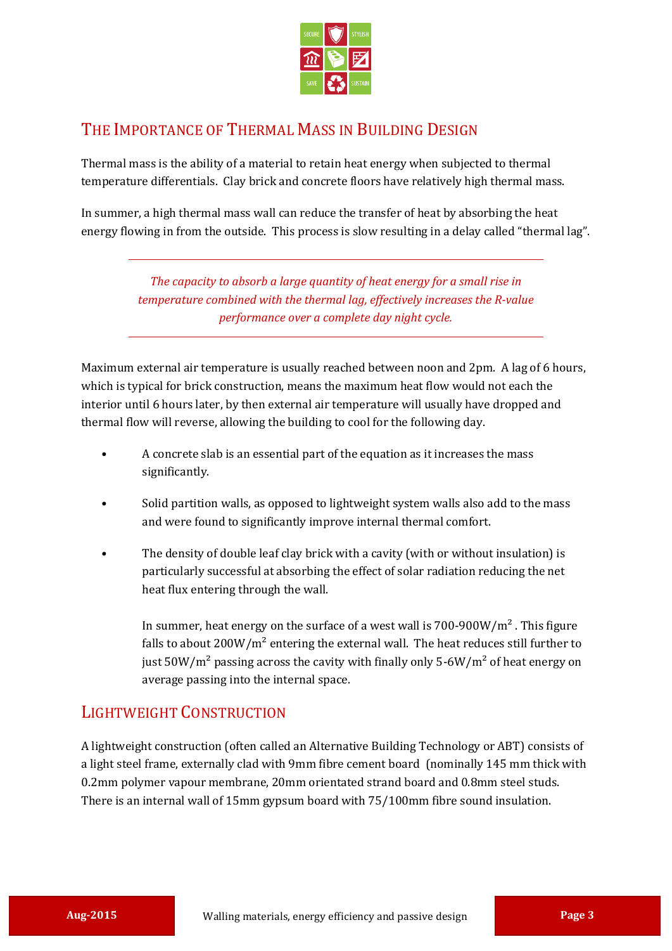

#### THE IMPORTANCE OF THERMAL MASS IN BUILDING DESIGN

Thermal mass is the ability of a material to retain heat energy when subjected to thermal temperature differentials. Clay brick and concrete floors have relatively high thermal mass.

In summer, a high thermal mass wall can reduce the transfer of heat by absorbing the heat energy flowing in from the outside. This process is slow resulting in a delay called "thermal lag".

> *The capacity to absorb a large quantity of heat energy for a small rise in temperature combined with the thermal lag, effectively increases the R-value performance over a complete day night cycle.*

Maximum external air temperature is usually reached between noon and 2pm. A lag of 6 hours, which is typical for brick construction, means the maximum heat flow would not each the interior until 6 hours later, by then external air temperature will usually have dropped and thermal flow will reverse, allowing the building to cool for the following day.

- A concrete slab is an essential part of the equation as it increases the mass significantly.
- Solid partition walls, as opposed to lightweight system walls also add to the mass and were found to significantly improve internal thermal comfort.
- The density of double leaf clay brick with a cavity (with or without insulation) is particularly successful at absorbing the effect of solar radiation reducing the net heat flux entering through the wall.

In summer, heat energy on the surface of a west wall is  $700-900W/m<sup>2</sup>$ . This figure falls to about  $200W/m^2$  entering the external wall. The heat reduces still further to just  $50W/m^2$  passing across the cavity with finally only  $5-6W/m^2$  of heat energy on average passing into the internal space.

#### LIGHTWEIGHT CONSTRUCTION

A lightweight construction (often called an Alternative Building Technology or ABT) consists of a light steel frame, externally clad with 9mm fibre cement board (nominally 145 mm thick with 0.2mm polymer vapour membrane, 20mm orientated strand board and 0.8mm steel studs. There is an internal wall of 15mm gypsum board with 75/100mm fibre sound insulation.